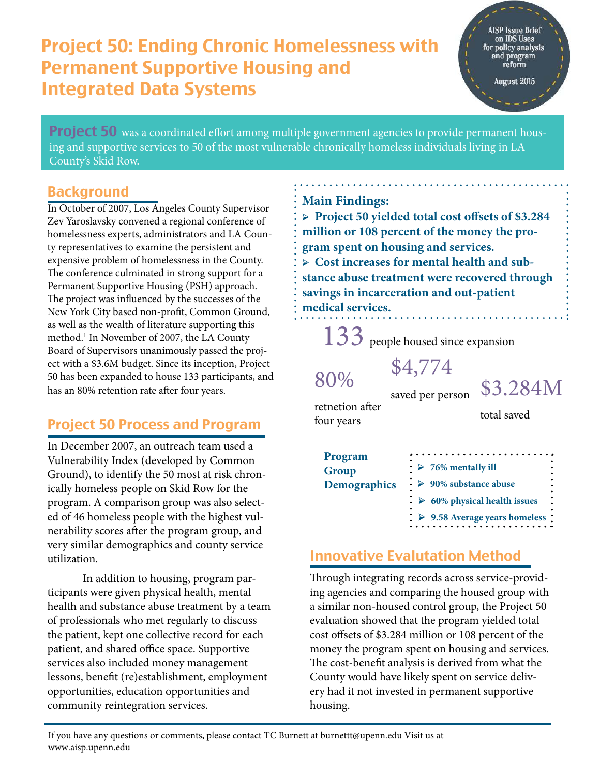## Project 50: Ending Chronic Homelessness with Permanent Supportive Housing and Integrated Data Systems

AISP Issue Brief on IDS Uses for policy analysis<br>and program<br>reform

August 2015

**Project 50** was a coordinated effort among multiple government agencies to provide permanent housing and supportive services to 50 of the most vulnerable chronically homeless individuals living in LA County's Skid Row.

#### <span id="page-0-0"></span>Background

In October of 2007, Los Angeles County Supervisor Zev Yaroslavsky convened a regional conference of homelessness experts, administrators and LA County representatives to examine the persistent and expensive problem of homelessness in the County. The conference culminated in strong support for a Permanent Supportive Housing (PSH) approach. The project was influenced by the successes of the New York City based non-profit, Common Ground, as well as the wealth of literature supporting this method.<sup>1</sup> In November of 2007, the LA County Board of Supervisors unanimously passed the project with a \$3.6M budget. Since its inception, Project 50 has been expanded to house 133 partic[ip](#page-0-0)ants, and has an 80% retention rate after four years.

### Project 50 Process and Program

In December 2007, an outreach team used a Vulnerability Index (developed by Common Ground), to identify the 50 most at risk chronically homeless people on Skid Row for the program. A comparison group was also selected of 46 homeless people with the highest vulnerability scores after the program group, and very similar demographics and county service utilization.

In addition to housing, program participants were given physical health, mental health and substance abuse treatment by a team of professionals who met regularly to discuss the patient, kept one collective record for each patient, and shared office space. Supportive services also included money management lessons, benefit (re)establishment, employment opportunities, education opportunities and community reintegration services.

#### **Main Findings:**

**➢ Project 50 yielded total cost offsets of \$3.284 million or 108 percent of the money the program spent on housing and services. ➢ Cost increases for mental health and substance abuse treatment were recovered through savings in incarceration and out-patient medical services.** 

133 people housed since expansion

saved per person

\$4,774

\$3.284M

retnetion after four years

80%

total saved

| Program               | $\therefore$ > 76% mentally ill                          |
|-----------------------|----------------------------------------------------------|
| Group<br>Demographics | $\cdot \geq 90\%$ substance abuse                        |
|                       | $\therefore$ $\triangleright$ 60% physical health issues |
|                       | $\therefore$ > 9.58 Average years homeless :             |

### Innovative Evalutation Method

Through integrating records across service-providing agencies and comparing the housed group with a similar non-housed control group, the Project 50 evaluation showed that the program yielded total cost offsets of \$3.284 million or 108 percent of the money the program spent on housing and services. The cost-benefit analysis is derived from what the County would have likely spent on service delivery had it not invested in permanent supportive housing.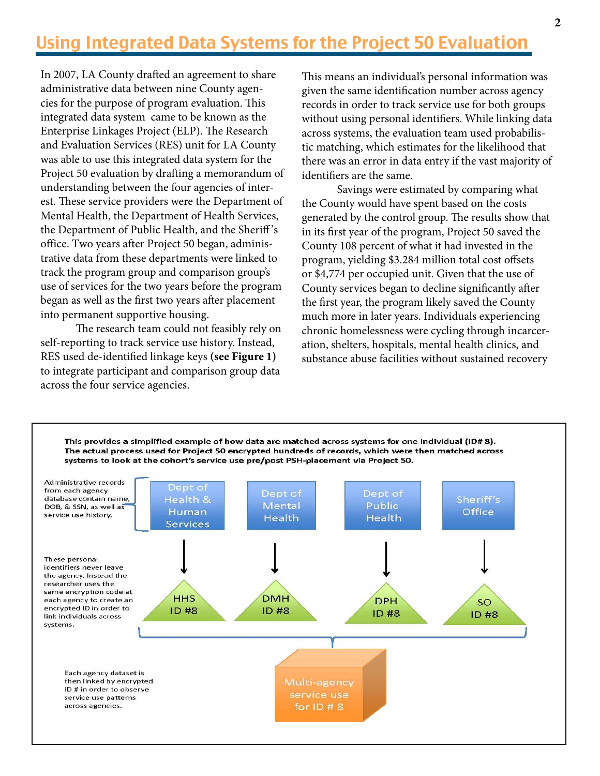## Using Integrated Data Systems for the Project 50 Evaluation

In 2007, LA County drafted an agreement to share administrative data between nine County agencies for the purpose of program evaluation. This integrated data system came to be known as the Enterprise Linkages Project (ELP). The Research and Evaluation Services (RES) unit for LA County was able to use this integrated data system for the Project 50 evaluation by drafting a memorandum of understanding between the four agencies of interest. These service providers were the Department of Mental Health, the Department of Health Services, the Department of Public Health, and the Sheriff 's office. Two years after Project 50 began, administrative data from these departments were linked to track the program group and comparison group's use of services for the two years before the program began as well as the first two years after placement into permanent supportive housing.

The research team could not feasibly rely on self-reporting to track service use history. Instead, RES used de-identified linkage keys **(see Figure 1)** to integrate participant and comparison group data across the four service agencies.

This means an individual's personal information was given the same identification number across agency records in order to track service use for both groups without using personal identifiers. While linking data across systems, the evaluation team used probabilistic matching, which estimates for the likelihood that there was an error in data entry if the vast majority of identifiers are the same.

 Savings were estimated by comparing what the County would have spent based on the costs generated by the control group. The results show that in its first year of the program, Project 50 saved the County 108 percent of what it had invested in the program, yielding \$3.284 million total cost offsets or \$4,774 per occupied unit. Given that the use of County services began to decline significantly after the first year, the program likely saved the County much more in later years. Individuals experiencing chronic homelessness were cycling through incarceration, shelters, hospitals, mental health clinics, and substance abuse facilities without sustained recovery